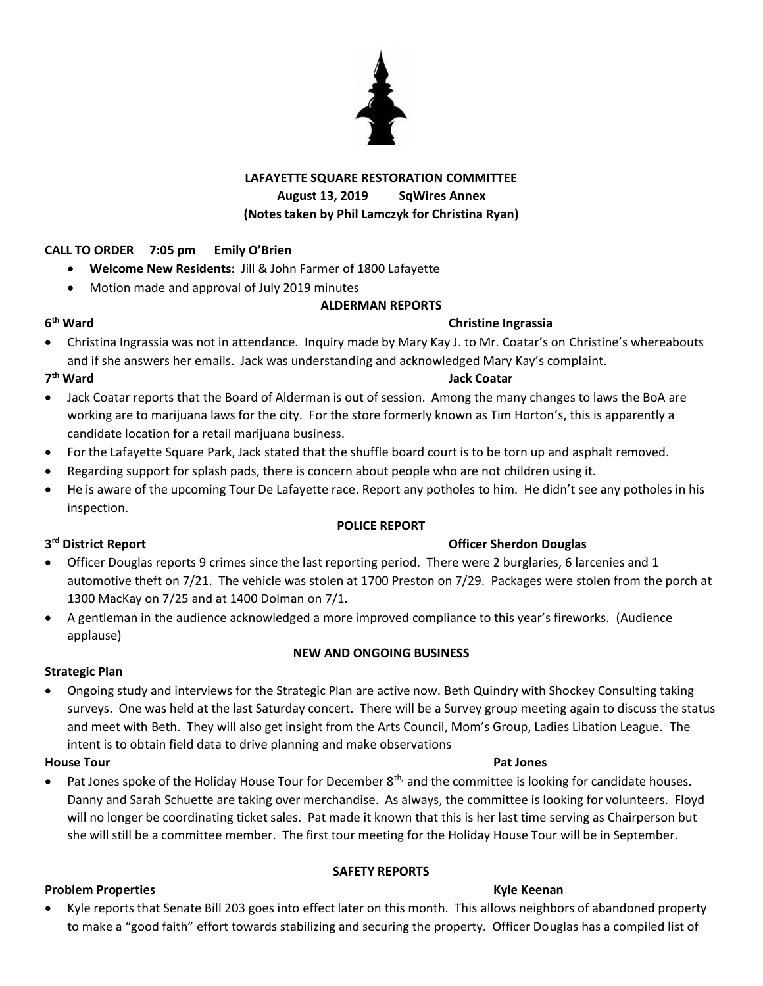

# **LAFAYETTE SQUARE RESTORATION COMMITTEE August 13, 2019 SqWires Annex (Notes taken by Phil Lamczyk for Christina Ryan)**

# **CALL TO ORDER 7:05 pm Emily O'Brien**

- **Welcome New Residents:** Jill & John Farmer of 1800 Lafayette
- Motion made and approval of July 2019 minutes

# **ALDERMAN REPORTS**

# **6**

### **Christine Ingrassia**

• Christina Ingrassia was not in attendance. Inquiry made by Mary Kay J. to Mr. Coatar's on Christine's whereabouts and if she answers her emails. Jack was understanding and acknowledged Mary Kay's complaint.

### 7<sup>th</sup> Ward

# **th Ward Jack Coatar**

- Jack Coatar reports that the Board of Alderman is out of session. Among the many changes to laws the BoA are working are to marijuana laws for the city. For the store formerly known as Tim Horton's, this is apparently a candidate location for a retail marijuana business.
- For the Lafayette Square Park, Jack stated that the shuffle board court is to be torn up and asphalt removed.
- Regarding support for splash pads, there is concern about people who are not children using it.
- He is aware of the upcoming Tour De Lafayette race. Report any potholes to him. He didn't see any potholes in his inspection.

# **POLICE REPORT**

# **Officer Sherdon Douglas**

- Officer Douglas reports 9 crimes since the last reporting period. There were 2 burglaries, 6 larcenies and 1 automotive theft on 7/21. The vehicle was stolen at 1700 Preston on 7/29. Packages were stolen from the porch at 1300 MacKay on 7/25 and at 1400 Dolman on 7/1.
- A gentleman in the audience acknowledged a more improved compliance to this year's fireworks. (Audience applause)

# **NEW AND ONGOING BUSINESS**

# **Strategic Plan**

3<sup>rd</sup> District Report

• Ongoing study and interviews for the Strategic Plan are active now. Beth Quindry with Shockey Consulting taking surveys. One was held at the last Saturday concert. There will be a Survey group meeting again to discuss the status and meet with Beth. They will also get insight from the Arts Council, Mom's Group, Ladies Libation League. The intent is to obtain field data to drive planning and make observations

# **House Tour Pat Jones**

• Pat Jones spoke of the Holiday House Tour for December  $8^{th}$ , and the committee is looking for candidate houses. Danny and Sarah Schuette are taking over merchandise. As always, the committee is looking for volunteers. Floyd will no longer be coordinating ticket sales. Pat made it known that this is her last time serving as Chairperson but she will still be a committee member. The first tour meeting for the Holiday House Tour will be in September.

# **Problem Properties Kyle Keenan**

• Kyle reports that Senate Bill 203 goes into effect later on this month. This allows neighbors of abandoned property to make a "good faith" effort towards stabilizing and securing the property. Officer Douglas has a compiled list of

**SAFETY REPORTS**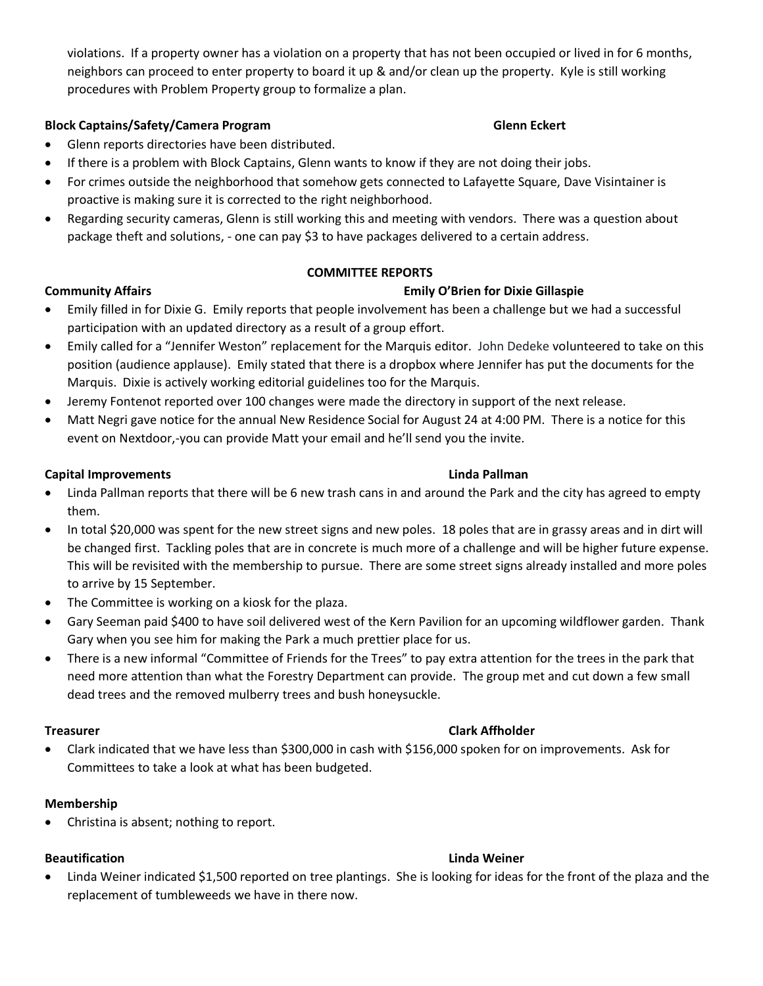violations. If a property owner has a violation on a property that has not been occupied or lived in for 6 months, neighbors can proceed to enter property to board it up & and/or clean up the property. Kyle is still working procedures with Problem Property group to formalize a plan.

# **Block Captains/Safety/Camera Program Glenn Eckert**

- Glenn reports directories have been distributed.
- If there is a problem with Block Captains, Glenn wants to know if they are not doing their jobs.
- For crimes outside the neighborhood that somehow gets connected to Lafayette Square, Dave Visintainer is proactive is making sure it is corrected to the right neighborhood.
- Regarding security cameras, Glenn is still working this and meeting with vendors. There was a question about package theft and solutions, - one can pay \$3 to have packages delivered to a certain address.

# **COMMITTEE REPORTS**

# **Community Affairs Emily O'Brien for Dixie Gillaspie**

- Emily filled in for Dixie G. Emily reports that people involvement has been a challenge but we had a successful participation with an updated directory as a result of a group effort.
- Emily called for a "Jennifer Weston" replacement for the Marquis editor. John Dedeke volunteered to take on this position (audience applause). Emily stated that there is a dropbox where Jennifer has put the documents for the Marquis. Dixie is actively working editorial guidelines too for the Marquis.
- Jeremy Fontenot reported over 100 changes were made the directory in support of the next release.
- Matt Negri gave notice for the annual New Residence Social for August 24 at 4:00 PM. There is a notice for this event on Nextdoor,-you can provide Matt your email and he'll send you the invite.

### **Capital Improvements Linda Pallman**

- Linda Pallman reports that there will be 6 new trash cans in and around the Park and the city has agreed to empty them.
- In total \$20,000 was spent for the new street signs and new poles. 18 poles that are in grassy areas and in dirt will be changed first. Tackling poles that are in concrete is much more of a challenge and will be higher future expense. This will be revisited with the membership to pursue. There are some street signs already installed and more poles to arrive by 15 September.
- The Committee is working on a kiosk for the plaza.
- Gary Seeman paid \$400 to have soil delivered west of the Kern Pavilion for an upcoming wildflower garden. Thank Gary when you see him for making the Park a much prettier place for us.
- There is a new informal "Committee of Friends for the Trees" to pay extra attention for the trees in the park that need more attention than what the Forestry Department can provide. The group met and cut down a few small dead trees and the removed mulberry trees and bush honeysuckle.

### **Treasurer Clark Affholder**

• Clark indicated that we have less than \$300,000 in cash with \$156,000 spoken for on improvements. Ask for Committees to take a look at what has been budgeted.

# **Membership**

• Christina is absent; nothing to report.

# **Beautification Linda Weiner**

• Linda Weiner indicated \$1,500 reported on tree plantings. She is looking for ideas for the front of the plaza and the replacement of tumbleweeds we have in there now.